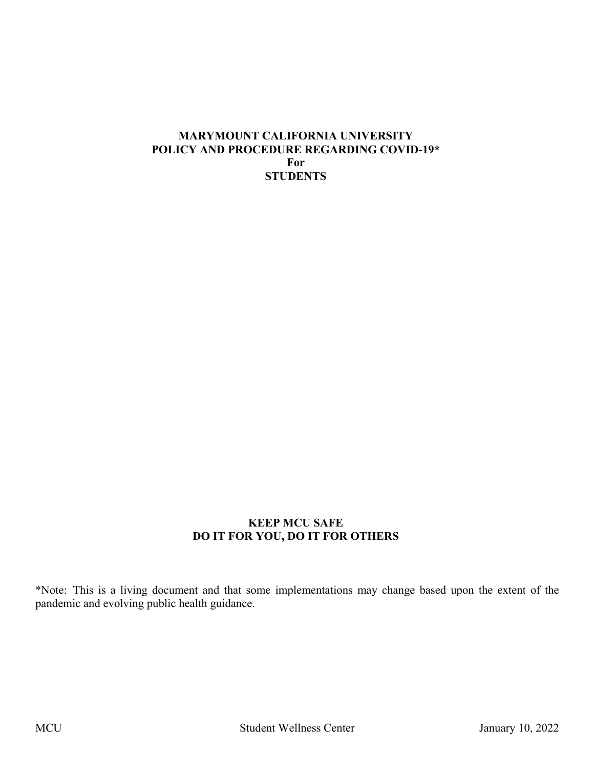#### **MARYMOUNT CALIFORNIA UNIVERSITY POLICY AND PROCEDURE REGARDING COVID-19\* For STUDENTS**

#### **KEEP MCU SAFE DO IT FOR YOU, DO IT FOR OTHERS**

\*Note: This is a living document and that some implementations may change based upon the extent of the pandemic and evolving public health guidance.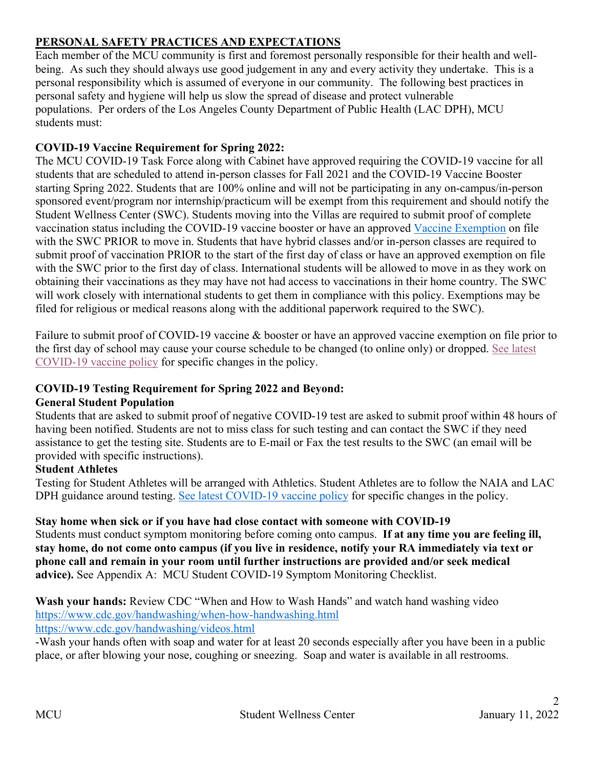# **PERSONAL SAFETY PRACTICES AND EXPECTATIONS**

Each member of the MCU community is first and foremost personally responsible for their health and wellbeing. As such they should always use good judgement in any and every activity they undertake. This is a personal responsibility which is assumed of everyone in our community. The following best practices in personal safety and hygiene will help us slow the spread of disease and protect vulnerable populations. Per orders of the Los Angeles County Department of Public Health (LAC DPH), MCU students must:

### **COVID-19 Vaccine Requirement for Spring 2022:**

The MCU COVID-19 Task Force along with Cabinet have approved requiring the COVID-19 vaccine for all students that are scheduled to attend in-person classes for Fall 2021 and the COVID-19 Vaccine Booster starting Spring 2022. Students that are 100% online and will not be participating in any on-campus/in-person sponsored event/program nor internship/practicum will be exempt from this requirement and should notify the Student Wellness Center (SWC). Students moving into the Villas are required to submit proof of complete vaccination status including the COVID-19 vaccine booster or have an approved Vaccine Exemption on file with the SWC PRIOR to move in. Students that have hybrid classes and/or in-person classes are required to submit proof of vaccination PRIOR to the start of the first day of class or have an approved exemption on file with the SWC prior to the first day of class. International students will be allowed to move in as they work on obtaining their vaccinations as they may have not had access to vaccinations in their home country. The SWC will work closely with international students to get them in compliance with this policy. Exemptions may be filed for religious or medical reasons along with the additional paperwork required to the SWC).

Failure to submit proof of COVID-19 vaccine & booster or have an approved vaccine exemption on file prior to the first day of school may cause your course schedule to be changed (to online only) or dropped. See latest COVID-19 vaccine policy for specific changes in the policy.

### **COVID-19 Testing Requirement for Spring 2022 and Beyond:**

### **General Student Population**

Students that are asked to submit proof of negative COVID-19 test are asked to submit proof within 48 hours of having been notified. Students are not to miss class for such testing and can contact the SWC if they need assistance to get the testing site. Students are to E-mail or Fax the test results to the SWC (an email will be provided with specific instructions).

### **Student Athletes**

Testing for Student Athletes will be arranged with Athletics. Student Athletes are to follow the NAIA and LAC DPH guidance around testing. See latest COVID-19 vaccine policy for specific changes in the policy.

### **Stay home when sick or if you have had close contact with someone with COVID-19**

Students must conduct symptom monitoring before coming onto campus. **If at any time you are feeling ill, stay home, do not come onto campus (if you live in residence, notify your RA immediately via text or phone call and remain in your room until further instructions are provided and/or seek medical advice).** See Appendix A: MCU Student COVID-19 Symptom Monitoring Checklist.

#### **Wash your hands:** Review CDC "When and How to Wash Hands" and watch hand washing video https://www.cdc.gov/handwashing/when-how-handwashing.html https://www.cdc.gov/handwashing/videos.html

-Wash your hands often with soap and water for at least 20 seconds especially after you have been in a public place, or after blowing your nose, coughing or sneezing. Soap and water is available in all restrooms.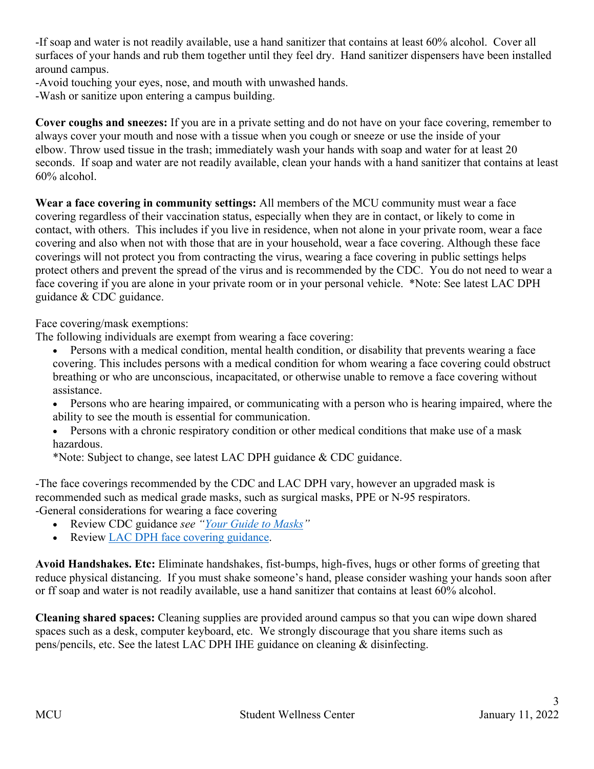-If soap and water is not readily available, use a hand sanitizer that contains at least 60% alcohol. Cover all surfaces of your hands and rub them together until they feel dry. Hand sanitizer dispensers have been installed around campus.

-Avoid touching your eyes, nose, and mouth with unwashed hands.

-Wash or sanitize upon entering a campus building.

**Cover coughs and sneezes:** If you are in a private setting and do not have on your face covering, remember to always cover your mouth and nose with a tissue when you cough or sneeze or use the inside of your elbow. Throw used tissue in the trash; immediately wash your hands with soap and water for at least 20 seconds. If soap and water are not readily available, clean your hands with a hand sanitizer that contains at least 60% alcohol.

**Wear a face covering in community settings:** All members of the MCU community must wear a face covering regardless of their vaccination status, especially when they are in contact, or likely to come in contact, with others. This includes if you live in residence, when not alone in your private room, wear a face covering and also when not with those that are in your household, wear a face covering. Although these face coverings will not protect you from contracting the virus, wearing a face covering in public settings helps protect others and prevent the spread of the virus and is recommended by the CDC. You do not need to wear a face covering if you are alone in your private room or in your personal vehicle. \*Note: See latest LAC DPH guidance & CDC guidance.

Face covering/mask exemptions:

The following individuals are exempt from wearing a face covering:

- Persons with a medical condition, mental health condition, or disability that prevents wearing a face covering. This includes persons with a medical condition for whom wearing a face covering could obstruct breathing or who are unconscious, incapacitated, or otherwise unable to remove a face covering without assistance.
- Persons who are hearing impaired, or communicating with a person who is hearing impaired, where the ability to see the mouth is essential for communication.
- Persons with a chronic respiratory condition or other medical conditions that make use of a mask hazardous.
- \*Note: Subject to change, see latest LAC DPH guidance & CDC guidance.

-The face coverings recommended by the CDC and LAC DPH vary, however an upgraded mask is recommended such as medical grade masks, such as surgical masks, PPE or N-95 respirators. -General considerations for wearing a face covering

- Review CDC guidance *see "Your Guide to Masks"*
- Review LAC DPH face covering guidance.

**Avoid Handshakes. Etc:** Eliminate handshakes, fist-bumps, high-fives, hugs or other forms of greeting that reduce physical distancing. If you must shake someone's hand, please consider washing your hands soon after or ff soap and water is not readily available, use a hand sanitizer that contains at least 60% alcohol.

**Cleaning shared spaces:** Cleaning supplies are provided around campus so that you can wipe down shared spaces such as a desk, computer keyboard, etc. We strongly discourage that you share items such as pens/pencils, etc. See the latest LAC DPH IHE guidance on cleaning & disinfecting.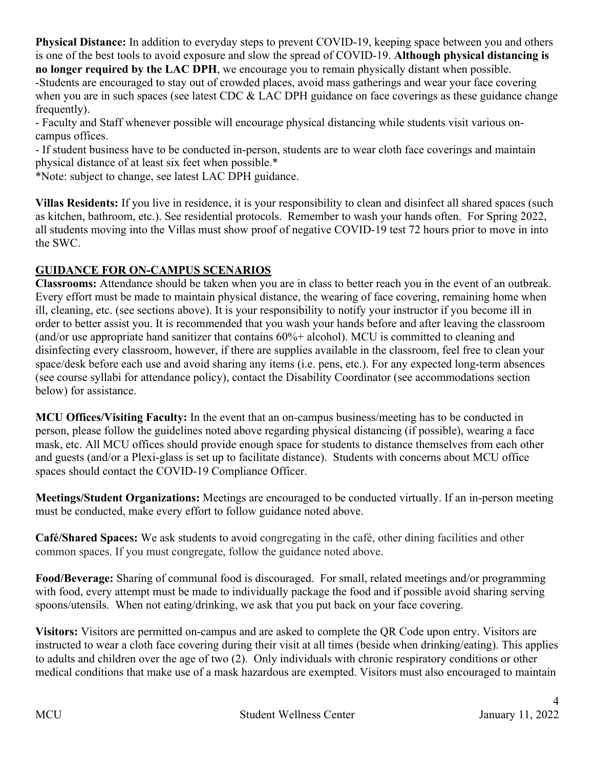**Physical Distance:** In addition to everyday steps to prevent COVID-19, keeping space between you and others is one of the best tools to avoid exposure and slow the spread of COVID-19. **Although physical distancing is no longer required by the LAC DPH**, we encourage you to remain physically distant when possible. -Students are encouraged to stay out of crowded places, avoid mass gatherings and wear your face covering when you are in such spaces (see latest CDC & LAC DPH guidance on face coverings as these guidance change frequently).

- Faculty and Staff whenever possible will encourage physical distancing while students visit various oncampus offices.

- If student business have to be conducted in-person, students are to wear cloth face coverings and maintain physical distance of at least six feet when possible.\*

\*Note: subject to change, see latest LAC DPH guidance.

**Villas Residents:** If you live in residence, it is your responsibility to clean and disinfect all shared spaces (such as kitchen, bathroom, etc.). See residential protocols. Remember to wash your hands often. For Spring 2022, all students moving into the Villas must show proof of negative COVID-19 test 72 hours prior to move in into the SWC.

### **GUIDANCE FOR ON-CAMPUS SCENARIOS**

**Classrooms:** Attendance should be taken when you are in class to better reach you in the event of an outbreak. Every effort must be made to maintain physical distance, the wearing of face covering, remaining home when ill, cleaning, etc. (see sections above). It is your responsibility to notify your instructor if you become ill in order to better assist you. It is recommended that you wash your hands before and after leaving the classroom (and/or use appropriate hand sanitizer that contains 60%+ alcohol). MCU is committed to cleaning and disinfecting every classroom, however, if there are supplies available in the classroom, feel free to clean your space/desk before each use and avoid sharing any items (i.e. pens, etc.). For any expected long-term absences (see course syllabi for attendance policy), contact the Disability Coordinator (see accommodations section below) for assistance.

**MCU Offices/Visiting Faculty:** In the event that an on-campus business/meeting has to be conducted in person, please follow the guidelines noted above regarding physical distancing (if possible), wearing a face mask, etc. All MCU offices should provide enough space for students to distance themselves from each other and guests (and/or a Plexi-glass is set up to facilitate distance). Students with concerns about MCU office spaces should contact the COVID-19 Compliance Officer.

**Meetings/Student Organizations:** Meetings are encouraged to be conducted virtually. If an in-person meeting must be conducted, make every effort to follow guidance noted above.

**Café/Shared Spaces:** We ask students to avoid congregating in the café, other dining facilities and other common spaces. If you must congregate, follow the guidance noted above.

**Food/Beverage:** Sharing of communal food is discouraged. For small, related meetings and/or programming with food, every attempt must be made to individually package the food and if possible avoid sharing serving spoons/utensils. When not eating/drinking, we ask that you put back on your face covering.

**Visitors:** Visitors are permitted on-campus and are asked to complete the QR Code upon entry. Visitors are instructed to wear a cloth face covering during their visit at all times (beside when drinking/eating). This applies to adults and children over the age of two (2). Only individuals with chronic respiratory conditions or other medical conditions that make use of a mask hazardous are exempted. Visitors must also encouraged to maintain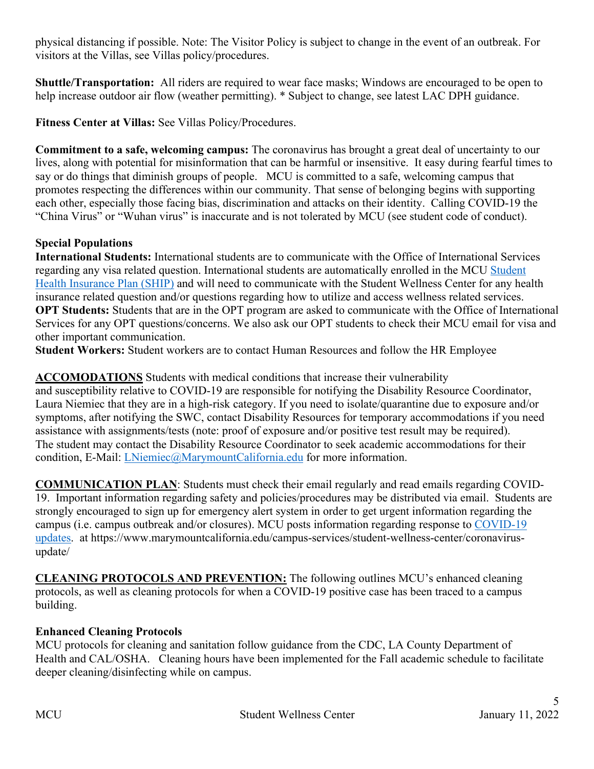physical distancing if possible. Note: The Visitor Policy is subject to change in the event of an outbreak. For visitors at the Villas, see Villas policy/procedures.

**Shuttle/Transportation:** All riders are required to wear face masks; Windows are encouraged to be open to help increase outdoor air flow (weather permitting). \* Subject to change, see latest LAC DPH guidance.

**Fitness Center at Villas:** See Villas Policy/Procedures.

**Commitment to a safe, welcoming campus:** The coronavirus has brought a great deal of uncertainty to our lives, along with potential for misinformation that can be harmful or insensitive. It easy during fearful times to say or do things that diminish groups of people. MCU is committed to a safe, welcoming campus that promotes respecting the differences within our community. That sense of belonging begins with supporting each other, especially those facing bias, discrimination and attacks on their identity. Calling COVID-19 the "China Virus" or "Wuhan virus" is inaccurate and is not tolerated by MCU (see student code of conduct).

### **Special Populations**

**International Students:** International students are to communicate with the Office of International Services regarding any visa related question. International students are automatically enrolled in the MCU Student Health Insurance Plan (SHIP) and will need to communicate with the Student Wellness Center for any health insurance related question and/or questions regarding how to utilize and access wellness related services. **OPT Students:** Students that are in the OPT program are asked to communicate with the Office of International Services for any OPT questions/concerns. We also ask our OPT students to check their MCU email for visa and other important communication.

**Student Workers:** Student workers are to contact Human Resources and follow the HR Employee

### **ACCOMODATIONS** Students with medical conditions that increase their vulnerability

and susceptibility relative to COVID-19 are responsible for notifying the Disability Resource Coordinator, Laura Niemiec that they are in a high-risk category. If you need to isolate/quarantine due to exposure and/or symptoms, after notifying the SWC, contact Disability Resources for temporary accommodations if you need assistance with assignments/tests (note: proof of exposure and/or positive test result may be required). The student may contact the Disability Resource Coordinator to seek academic accommodations for their condition, E-Mail: LNiemiec@MarymountCalifornia.edu for more information.

**COMMUNICATION PLAN**: Students must check their email regularly and read emails regarding COVID-19. Important information regarding safety and policies/procedures may be distributed via email. Students are strongly encouraged to sign up for emergency alert system in order to get urgent information regarding the campus (i.e. campus outbreak and/or closures). MCU posts information regarding response to COVID-19 updates. at https://www.marymountcalifornia.edu/campus-services/student-wellness-center/coronavirusupdate/

**CLEANING PROTOCOLS AND PREVENTION:** The following outlines MCU's enhanced cleaning protocols, as well as cleaning protocols for when a COVID-19 positive case has been traced to a campus building.

### **Enhanced Cleaning Protocols**

MCU protocols for cleaning and sanitation follow guidance from the CDC, LA County Department of Health and CAL/OSHA. Cleaning hours have been implemented for the Fall academic schedule to facilitate deeper cleaning/disinfecting while on campus.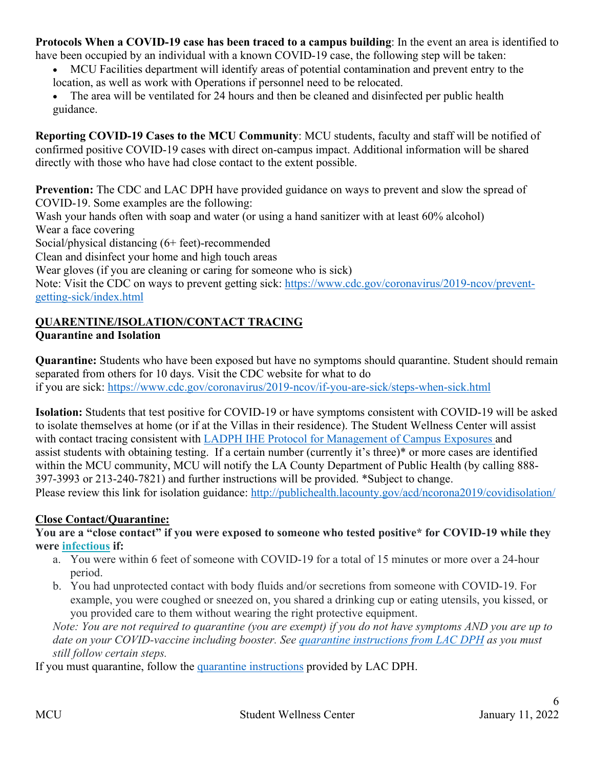**Protocols When a COVID-19 case has been traced to a campus building**: In the event an area is identified to

- have been occupied by an individual with a known COVID-19 case, the following step will be taken: • MCU Facilities department will identify areas of potential contamination and prevent entry to the
	- location, as well as work with Operations if personnel need to be relocated.
	- The area will be ventilated for 24 hours and then be cleaned and disinfected per public health guidance.

**Reporting COVID-19 Cases to the MCU Community**: MCU students, faculty and staff will be notified of confirmed positive COVID-19 cases with direct on-campus impact. Additional information will be shared directly with those who have had close contact to the extent possible.

**Prevention:** The CDC and LAC DPH have provided guidance on ways to prevent and slow the spread of COVID-19. Some examples are the following:

Wash your hands often with soap and water (or using a hand sanitizer with at least 60% alcohol)

Wear a face covering

Social/physical distancing (6+ feet)-recommended

Clean and disinfect your home and high touch areas

Wear gloves (if you are cleaning or caring for someone who is sick)

Note: Visit the CDC on ways to prevent getting sick: https://www.cdc.gov/coronavirus/2019-ncov/preventgetting-sick/index.html

# **QUARENTINE/ISOLATION/CONTACT TRACING**

### **Quarantine and Isolation**

**Quarantine:** Students who have been exposed but have no symptoms should quarantine. Student should remain separated from others for 10 days. Visit the CDC website for what to do if you are sick: https://www.cdc.gov/coronavirus/2019-ncov/if-you-are-sick/steps-when-sick.html

**Isolation:** Students that test positive for COVID-19 or have symptoms consistent with COVID-19 will be asked to isolate themselves at home (or if at the Villas in their residence). The Student Wellness Center will assist with contact tracing consistent with LADPH IHE Protocol for Management of Campus Exposures and assist students with obtaining testing. If a certain number (currently it's three)\* or more cases are identified within the MCU community, MCU will notify the LA County Department of Public Health (by calling 888- 397-3993 or 213-240-7821) and further instructions will be provided. \*Subject to change.

Please review this link for isolation guidance: http://publichealth.lacounty.gov/acd/ncorona2019/covidisolation/

#### **Close Contact/Quarantine:**

**You are a "close contact" if you were exposed to someone who tested positive\* for COVID-19 while they were infectious if:**

- a. You were within 6 feet of someone with COVID-19 for a total of 15 minutes or more over a 24-hour period.
- b. You had unprotected contact with body fluids and/or secretions from someone with COVID-19. For example, you were coughed or sneezed on, you shared a drinking cup or eating utensils, you kissed, or you provided care to them without wearing the right protective equipment.

*Note: You are not required to quarantine (you are exempt) if you do not have symptoms AND you are up to date on your COVID-vaccine including booster. See quarantine instructions from LAC DPH as you must still follow certain steps.* 

If you must quarantine, follow the quarantine instructions provided by LAC DPH.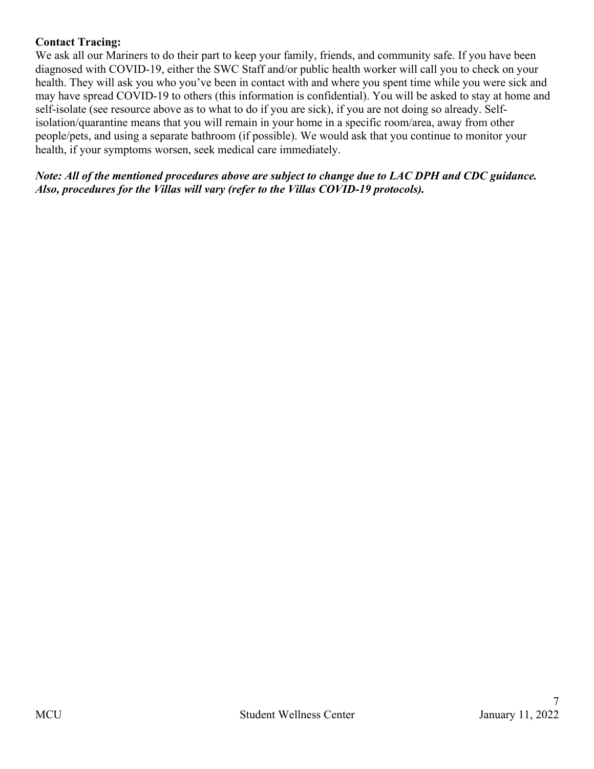### **Contact Tracing:**

We ask all our Mariners to do their part to keep your family, friends, and community safe. If you have been diagnosed with COVID-19, either the SWC Staff and/or public health worker will call you to check on your health. They will ask you who you've been in contact with and where you spent time while you were sick and may have spread COVID-19 to others (this information is confidential). You will be asked to stay at home and self-isolate (see resource above as to what to do if you are sick), if you are not doing so already. Selfisolation/quarantine means that you will remain in your home in a specific room/area, away from other people/pets, and using a separate bathroom (if possible). We would ask that you continue to monitor your health, if your symptoms worsen, seek medical care immediately.

*Note: All of the mentioned procedures above are subject to change due to LAC DPH and CDC guidance. Also, procedures for the Villas will vary (refer to the Villas COVID-19 protocols).*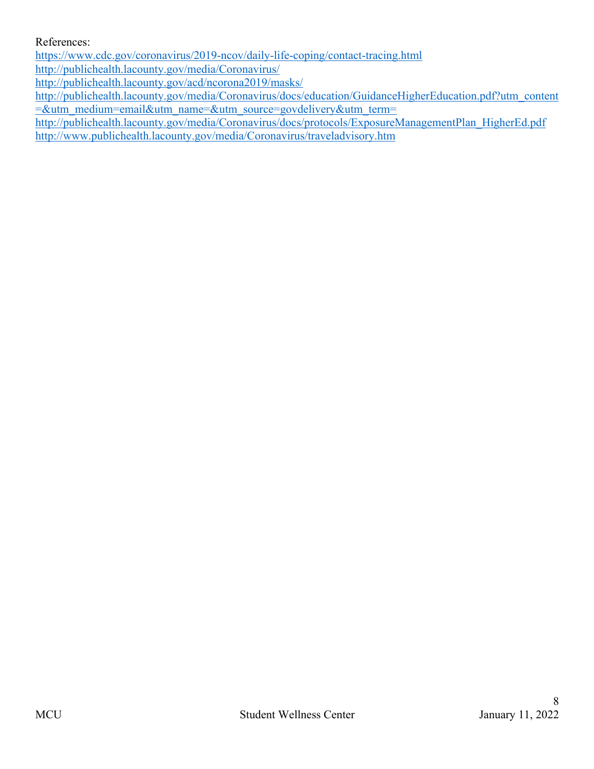#### References:

https://www.cdc.gov/coronavirus/2019-ncov/daily-life-coping/contact-tracing.html

http://publichealth.lacounty.gov/media/Coronavirus/

http://publichealth.lacounty.gov/acd/ncorona2019/masks/

http://publichealth.lacounty.gov/media/Coronavirus/docs/education/GuidanceHigherEducation.pdf?utm\_content =&utm\_medium=email&utm\_name=&utm\_source=govdelivery&utm\_term=

http://publichealth.lacounty.gov/media/Coronavirus/docs/protocols/ExposureManagementPlan\_HigherEd.pdf http://www.publichealth.lacounty.gov/media/Coronavirus/traveladvisory.htm